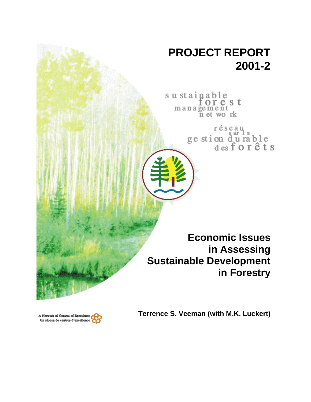## **PROJECT REPORT 2001-2**

sustainable orest management<br>net work

> réseau ge stion durable<br>desforêts

**Economic Issues in Assessing Sustainable Development in Forestry**



**Terrence S. Veeman (with M.K. Luckert)**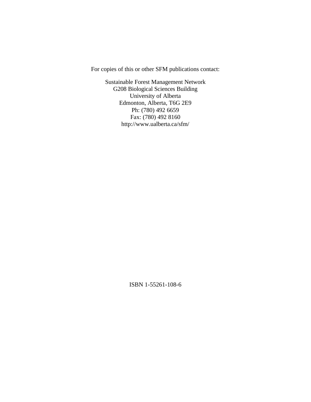For copies of this or other SFM publications contact:

Sustainable Forest Management Network G208 Biological Sciences Building University of Alberta Edmonton, Alberta, T6G 2E9 Ph: (780) 492 6659 Fax: (780) 492 8160 http://www.ualberta.ca/sfm/

ISBN 1-55261-108-6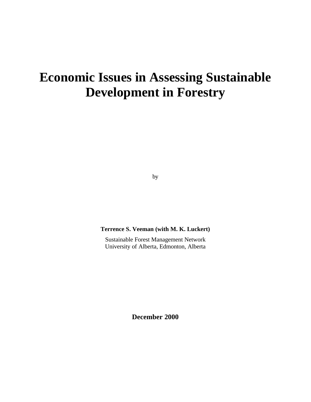# **Economic Issues in Assessing Sustainable Development in Forestry**

by

**Terrence S. Veeman (with M. K. Luckert)**

Sustainable Forest Management Network University of Alberta, Edmonton, Alberta

**December 2000**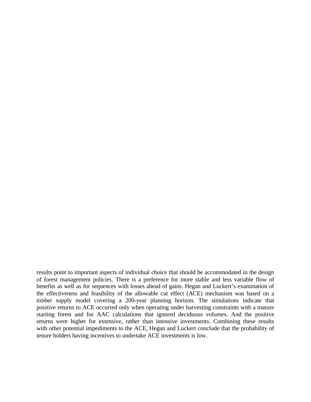results point to important aspects of individual choice that should be accommodated in the design of forest management policies. There is a preference for more stable and less variable flow of benefits as well as for sequences with losses ahead of gains. Hegan and Luckert's examination of the effectiveness and feasibility of the allowable cut effect (ACE) mechanism was based on a timber supply model covering a 200-year planning horizon. The simulations indicate that positive returns to ACE occurred only when operating under harvesting constraints with a mature starting forest and for AAC calculations that ignored deciduous volumes. And the positive returns were higher for extensive, rather than intensive investments. Combining these results with other potential impediments to the ACE, Hegan and Luckert conclude that the probability of tenure holders having incentives to undertake ACE investments is low.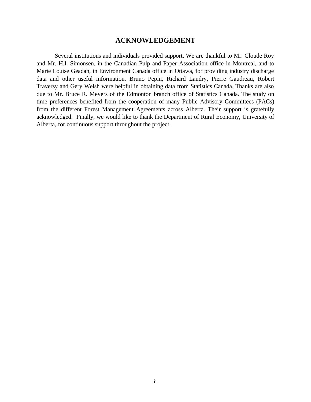## **ACKNOWLEDGEMENT**

Several institutions and individuals provided support. We are thankful to Mr. Cloude Roy and Mr. H.I. Simonsen, in the Canadian Pulp and Paper Association office in Montreal, and to Marie Louise Geadah, in Environment Canada office in Ottawa, for providing industry discharge data and other useful information. Bruno Pepin, Richard Landry, Pierre Gaudreau, Robert Traversy and Gery Welsh were helpful in obtaining data from Statistics Canada. Thanks are also due to Mr. Bruce R. Meyers of the Edmonton branch office of Statistics Canada. The study on time preferences benefited from the cooperation of many Public Advisory Committees (PACs) from the different Forest Management Agreements across Alberta. Their support is gratefully acknowledged. Finally, we would like to thank the Department of Rural Economy, University of Alberta, for continuous support throughout the project.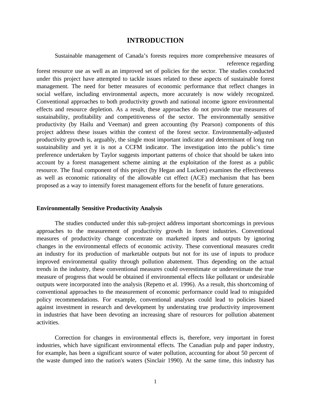## **INTRODUCTION**

Sustainable management of Canada's forests requires more comprehensive measures of reference regarding

forest resource use as well as an improved set of policies for the sector. The studies conducted under this project have attempted to tackle issues related to these aspects of sustainable forest management. The need for better measures of economic performance that reflect changes in social welfare, including environmental aspects, more accurately is now widely recognized. Conventional approaches to both productivity growth and national income ignore environmental effects and resource depletion. As a result, these approaches do not provide true measures of sustainability, profitability and competitiveness of the sector. The environmentally sensitive productivity (by Hailu and Veeman) and green accounting (by Pearson) components of this project address these issues within the context of the forest sector. Environmentally-adjusted productivity growth is, arguably, the single most important indicator and determinant of long run sustainability and yet it is not a CCFM indicator. The investigation into the public's time preference undertaken by Taylor suggests important patterns of choice that should be taken into account by a forest management scheme aiming at the exploitation of the forest as a public resource. The final component of this project (by Hegan and Luckert) examines the effectiveness as well as economic rationality of the allowable cut effect (ACE) mechanism that has been proposed as a way to intensify forest management efforts for the benefit of future generations.

#### **Environmentally Sensitive Productivity Analysis**

The studies conducted under this sub-project address important shortcomings in previous approaches to the measurement of productivity growth in forest industries. Conventional measures of productivity change concentrate on marketed inputs and outputs by ignoring changes in the environmental effects of economic activity. These conventional measures credit an industry for its production of marketable outputs but not for its use of inputs to produce improved environmental quality through pollution abatement. Thus depending on the actual trends in the industry, these conventional measures could overestimate or underestimate the true measure of progress that would be obtained if environmental effects like pollutant or undesirable outputs were incorporated into the analysis (Repetto et al. 1996). As a result, this shortcoming of conventional approaches to the measurement of economic performance could lead to misguided policy recommendations. For example, conventional analyses could lead to policies biased against investment in research and development by understating true productivity improvement in industries that have been devoting an increasing share of resources for pollution abatement activities.

Correction for changes in environmental effects is, therefore, very important in forest industries, which have significant environmental effects. The Canadian pulp and paper industry, for example, has been a significant source of water pollution, accounting for about 50 percent of the waste dumped into the nation's waters (Sinclair 1990). At the same time, this industry has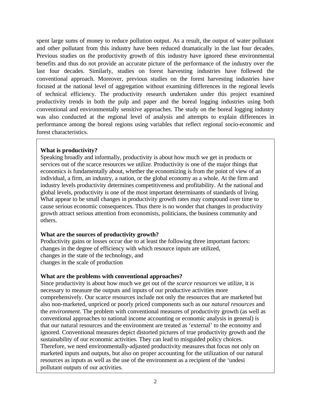spent large sums of money to reduce pollution output. As a result, the output of water pollutant and other pollutant from this industry have been reduced dramatically in the last four decades. Previous studies on the productivity growth of this industry have ignored these environmental benefits and thus do not provide an accurate picture of the performance of the industry over the last four decades. Similarly, studies on forest harvesting industries have followed the conventional approach. Moreover, previous studies on the forest harvesting industries have focused at the national level of aggregation without examining differences in the regional levels of technical efficiency. The productivity research undertaken under this project examined productivity trends in both the pulp and paper and the boreal logging industries using both conventional and environmentally sensitive approaches. The study on the boreal logging industry was also conducted at the regional level of analysis and attempts to explain differences in performance among the boreal regions using variables that reflect regional socio-economic and forest characteristics.

## **What is productivity?**

Speaking broadly and informally, productivity is about how much we get in products or services out of the scarce resources we utilize. Productivity is one of the major things that economics is fundamentally about, whether the economizing is from the point of view of an individual, a firm, an industry, a nation, or the global economy as a whole. At the firm and industry levels productivity determines competitiveness and profitability. At the national and global levels, productivity is one of the most important determinants of standards of living. What appear to be small changes in productivity growth rates may compound over time to cause serious economic consequences. Thus there is no wonder that changes in productivity growth attract serious attention from economists, politicians, the business community and others.

## **What are the sources of productivity growth?**

Productivity gains or losses occur due to at least the following three important factors: changes in the degree of efficiency with which resource inputs are utilized, changes in the state of the technology, and changes in the scale of production

## **What are the problems with conventional approaches?**

Since productivity is about how much we get out of the *scarce resources* we utilize, it is necessary to measure the outputs and inputs of our productive activities more comprehensively. Our scarce resources include not only the resources that are marketed but also non-marketed, unpriced or poorly priced components such as our *natural resources* and the *environment*. The problem with conventional measures of productivity growth (as well as conventional approaches to national income accounting or economic analysis in general) is that our natural resources and the environment are treated as 'external' to the economy and ignored. Conventional measures depict distorted pictures of true productivity growth and the sustainability of our economic activities. They can lead to misguided policy choices. Therefore, we need environmentally-adjusted productivity measures that focus not only on marketed inputs and outputs, but also on proper accounting for the utilization of our natural resources as inputs as well as the use of the environment as a recipient of the 'undesi pollutant outputs of our activities.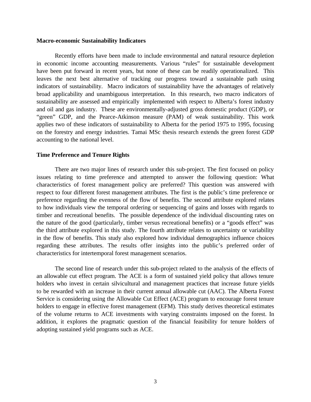#### **Macro-economic Sustainability Indicators**

Recently efforts have been made to include environmental and natural resource depletion in economic income accounting measurements. Various "rules" for sustainable development have been put forward in recent years, but none of these can be readily operationalized. This leaves the next best alternative of tracking our progress toward a sustainable path using indicators of sustainability. Macro indicators of sustainability have the advantages of relatively broad applicability and unambiguous interpretation. In this research, two macro indicators of sustainability are assessed and empirically implemented with respect to Alberta's forest industry and oil and gas industry. These are environmentally-adjusted gross domestic product (GDP), or "green" GDP, and the Pearce-Atkinson measure (PAM) of weak sustainability. This work applies two of these indicators of sustainability to Alberta for the period 1975 to 1995, focusing on the forestry and energy industries. Tamai MSc thesis research extends the green forest GDP accounting to the national level.

#### **Time Preference and Tenure Rights**

There are two major lines of research under this sub-project. The first focused on policy issues relating to time preference and attempted to answer the following question: What characteristics of forest management policy are preferred? This question was answered with respect to four different forest management attributes. The first is the public's time preference or preference regarding the evenness of the flow of benefits. The second attribute explored relates to how individuals view the temporal ordering or sequencing of gains and losses with regards to timber and recreational benefits. The possible dependence of the individual discounting rates on the nature of the good (particularly, timber versus recreational benefits) or a "goods effect" was the third attribute explored in this study. The fourth attribute relates to uncertainty or variability in the flow of benefits. This study also explored how individual demographics influence choices regarding these attributes. The results offer insights into the public's preferred order of characteristics for intertemporal forest management scenarios.

The second line of research under this sub-project related to the analysis of the effects of an allowable cut effect program. The ACE is a form of sustained yield policy that allows tenure holders who invest in certain silvicultural and management practices that increase future yields to be rewarded with an increase in their current annual allowable cut (AAC). The Alberta Forest Service is considering using the Allowable Cut Effect (ACE) program to encourage forest tenure holders to engage in effective forest management (EFM). This study derives theoretical estimates of the volume returns to ACE investments with varying constraints imposed on the forest. In addition, it explores the pragmatic question of the financial feasibility for tenure holders of adopting sustained yield programs such as ACE.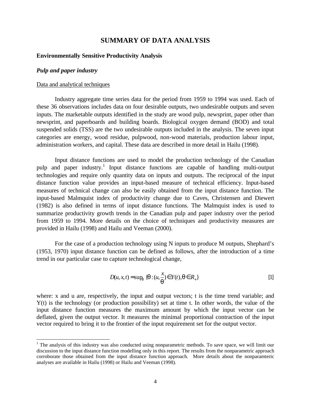## **SUMMARY OF DATA ANALYSIS**

#### **Environmentally Sensitive Productivity Analysis**

#### *Pulp and paper industry*

#### Data and analytical techniques

Industry aggregate time series data for the period from 1959 to 1994 was used. Each of these 36 observations includes data on four desirable outputs, two undesirable outputs and seven inputs. The marketable outputs identified in the study are wood pulp, newsprint, paper other than newsprint, and paperboards and building boards. Biological oxygen demand (BOD) and total suspended solids (TSS) are the two undesirable outputs included in the analysis. The seven input categories are energy, wood residue, pulpwood, non-wood materials, production labour input, administration workers, and capital. These data are described in more detail in Hailu (1998).

Input distance functions are used to model the production technology of the Canadian pulp and paper industry.<sup>1</sup> Input distance functions are capable of handling multi-output technologies and require only quantity data on inputs and outputs. The reciprocal of the input distance function value provides an input-based measure of technical efficiency. Input-based measures of technical change can also be easily obtained from the input distance function. The input-based Malmquist index of productivity change due to Caves, Christensen and Diewert (1982) is also defined in terms of input distance functions. The Malmquist index is used to summarize productivity growth trends in the Canadian pulp and paper industry over the period from 1959 to 1994. More details on the choice of techniques and productivity measures are provided in Hailu (1998) and Hailu and Veeman (2000).

For the case of a production technology using N inputs to produce M outputs, Shephard's (1953, 1970) input distance function can be defined as follows, after the introduction of a time trend in our particular case to capture technological change,

$$
D(u, x, t) = \sup_{q} \{q : (u, \frac{x}{q}) \in Y(t), q \in R_{+}\}\
$$
 [1]

where: x and u are, respectively, the input and output vectors; t is the time trend variable; and Y(t) is the technology (or production possibility) set at time t. In other words, the value of the input distance function measures the maximum amount by which the input vector can be deflated, given the output vector. It measures the minimal proportional contraction of the input vector required to bring it to the frontier of the input requirement set for the output vector.

<sup>&</sup>lt;sup>1</sup> The analysis of this industry was also conducted using nonparametric methods. To save space, we will limit our discussion to the input distance function modelling only in this report. The results from the nonparametric approach corroborate those obtained from the input distance function approach. More details about the nonparamteric analyses are available in Hailu (1998) or Hailu and Veeman (1998).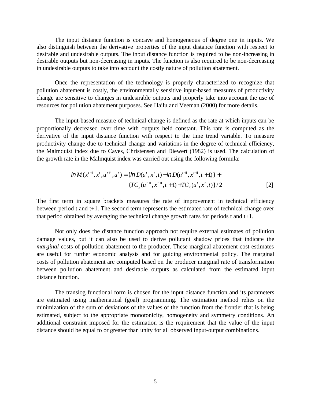The input distance function is concave and homogeneous of degree one in inputs. We also distinguish between the derivative properties of the input distance function with respect to desirable and undesirable outputs. The input distance function is required to be non-increasing in desirable outputs but non-decreasing in inputs. The function is also required to be non-decreasing in undesirable outputs to take into account the costly nature of pollution abatement.

Once the representation of the technology is properly characterized to recognize that pollution abatement is costly, the environmentally sensitive input-based measures of productivity change are sensitive to changes in undesirable outputs and properly take into account the use of resources for pollution abatement purposes. See Hailu and Veeman (2000) for more details.

The input-based measure of technical change is defined as the rate at which inputs can be proportionally decreased over time with outputs held constant. This rate is computed as the derivative of the input distance function with respect to the time trend variable. To measure productivity change due to technical change and variations in the degree of technical efficiency, the Malmquist index due to Caves, Christensen and Diewert (1982) is used. The calculation of the growth rate in the Malmquist index was carried out using the following formula:

$$
lnM(x^{t+1}, x^t, u^{t+1}, u^t) = \{lnD(u^t, x^t, t) - lnD(u^{t+1}, x^{t+1}, t+1)\} + \{TC_x(u^{t+1}, x^{t+1}, t+1) + TC_x(u^t, x^t, t)\}/2
$$
\n[2]

The first term in square brackets measures the rate of improvement in technical efficiency between period t and t+1. The second term represents the estimated rate of technical change over that period obtained by averaging the technical change growth rates for periods t and t+1.

Not only does the distance function approach not require external estimates of pollution damage values, but it can also be used to derive pollutant shadow prices that indicate the *marginal* costs of pollution abatement to the producer. These marginal abatement cost estimates are useful for further economic analysis and for guiding environmental policy. The marginal costs of pollution abatement are computed based on the producer marginal rate of transformation between pollution abatement and desirable outputs as calculated from the estimated input distance function.

The translog functional form is chosen for the input distance function and its parameters are estimated using mathematical (goal) programming. The estimation method relies on the minimization of the sum of deviations of the values of the function from the frontier that is being estimated, subject to the appropriate monotonicity, homogeneity and symmetry conditions. An additional constraint imposed for the estimation is the requirement that the value of the input distance should be equal to or greater than unity for all observed input-output combinations.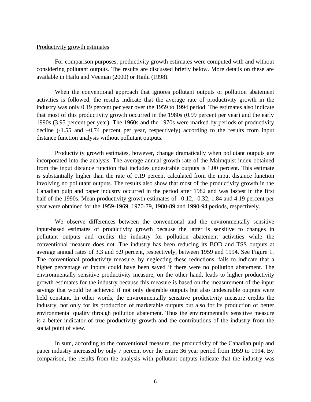#### Productivity growth estimates

For comparison purposes, productivity growth estimates were computed with and without considering pollutant outputs. The results are discussed briefly below. More details on these are available in Hailu and Veeman (2000) or Hailu (1998).

When the conventional approach that ignores pollutant outputs or pollution abatement activities is followed, the results indicate that the average rate of productivity growth in the industry was only 0.19 percent per year over the 1959 to 1994 period. The estimates also indicate that most of this productivity growth occurred in the 1980s (0.99 percent per year) and the early 1990s (3.95 percent per year). The 1960s and the 1970s were marked by periods of productivity decline (-1.55 and –0.74 percent per year, respectively) according to the results from input distance function analysis without pollutant outputs.

Productivity growth estimates, however, change dramatically when pollutant outputs are incorporated into the analysis. The average annual growth rate of the Malmquist index obtained from the input distance function that includes undesirable outputs is 1.00 percent. This estimate is substantially higher than the rate of 0.19 percent calculated from the input distance function involving no pollutant outputs. The results also show that most of the productivity growth in the Canadian pulp and paper industry occurred in the period after 1982 and was fastest in the first half of the 1990s. Mean productivity growth estimates of  $-0.12$ ,  $-0.32$ , 1.84 and 4.19 percent per year were obtained for the 1959-1969, 1970-79, 1980-89 and 1990-94 periods, respectively.

We observe differences between the conventional and the environmentally sensitive input-based estimates of productivity growth because the latter is sensitive to changes in pollutant outputs and credits the industry for pollution abatement activities while the conventional measure does not. The industry has been reducing its BOD and TSS outputs at average annual rates of 3.3 and 5.9 percent, respectively, between 1959 and 1994. See Figure 1. The conventional productivity measure, by neglecting these reductions, fails to indicate that a higher percentage of inputs could have been saved if there were no pollution abatement. The environmentally sensitive productivity measure, on the other hand, leads to higher productivity growth estimates for the industry because this measure is based on the measurement of the input savings that would be achieved if not only desirable outputs but also undesirable outputs were held constant. In other words, the environmentally sensitive productivity measure credits the industry, not only for its production of marketable outputs but also for its production of better environmental quality through pollution abatement. Thus the environmentally sensitive measure is a better indicator of true productivity growth and the contributions of the industry from the social point of view.

In sum, according to the conventional measure, the productivity of the Canadian pulp and paper industry increased by only 7 percent over the entire 36 year period from 1959 to 1994. By comparison, the results from the analysis with pollutant outputs indicate that the industry was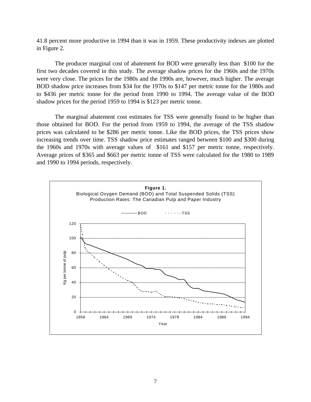41.8 percent more productive in 1994 than it was in 1959. These productivity indexes are plotted in Figure 2.

The producer marginal cost of abatement for BOD were generally less than \$100 for the first two decades covered in this study. The average shadow prices for the 1960s and the 1970s were very close. The prices for the 1980s and the 1990s are, however, much higher. The average BOD shadow price increases from \$34 for the 1970s to \$147 per metric tonne for the 1980s and to \$436 per metric tonne for the period from 1990 to 1994. The average value of the BOD shadow prices for the period 1959 to 1994 is \$123 per metric tonne.

The marginal abatement cost estimates for TSS were generally found to be higher than those obtained for BOD. For the period from 1959 to 1994, the average of the TSS shadow prices was calculated to be \$286 per metric tonne. Like the BOD prices, the TSS prices show increasing trends over time. TSS shadow price estimates ranged between \$100 and \$300 during the 1960s and 1970s with average values of \$161 and \$157 per metric tonne, respectively. Average prices of \$365 and \$663 per metric tonne of TSS were calculated for the 1980 to 1989 and 1990 to 1994 periods, respectively.

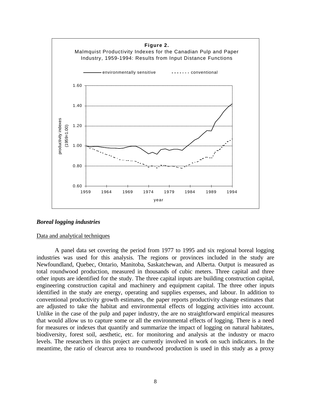

#### *Boreal logging industries*

#### Data and analytical techniques

A panel data set covering the period from 1977 to 1995 and six regional boreal logging industries was used for this analysis. The regions or provinces included in the study are Newfoundland, Quebec, Ontario, Manitoba, Saskatchewan, and Alberta. Output is measured as total roundwood production, measured in thousands of cubic meters. Three capital and three other inputs are identified for the study. The three capital inputs are building construction capital, engineering construction capital and machinery and equipment capital. The three other inputs identified in the study are energy, operating and supplies expenses, and labour. In addition to conventional productivity growth estimates, the paper reports productivity change estimates that are adjusted to take the habitat and environmental effects of logging activities into account. Unlike in the case of the pulp and paper industry, the are no straightforward empirical measures that would allow us to capture some or all the environmental effects of logging. There is a need for measures or indexes that quantify and summarize the impact of logging on natural habitates, biodiversity, forest soil, aesthetic, etc. for monitoring and analysis at the industry or macro levels. The researchers in this project are currently involved in work on such indicators. In the meantime, the ratio of clearcut area to roundwood production is used in this study as a proxy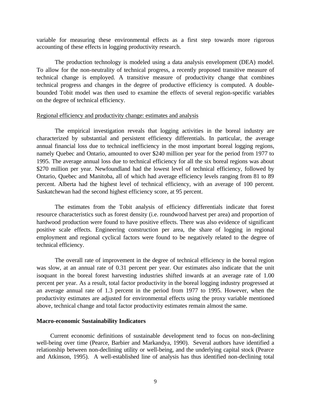variable for measuring these environmental effects as a first step towards more rigorous accounting of these effects in logging productivity research.

The production technology is modeled using a data analysis envelopment (DEA) model. To allow for the non-neutrality of technical progress, a recently proposed transitive measure of technical change is employed. A transitive measure of productivity change that combines technical progress and changes in the degree of productive efficiency is computed. A doublebounded Tobit model was then used to examine the effects of several region-specific variables on the degree of technical efficiency.

#### Regional efficiency and productivity change: estimates and analysis

The empirical investigation reveals that logging activities in the boreal industry are characterized by substantial and persistent efficiency differentials. In particular, the average annual financial loss due to technical inefficiency in the most important boreal logging regions, namely Quebec and Ontario, amounted to over \$240 million per year for the period from 1977 to 1995. The average annual loss due to technical efficiency for all the six boreal regions was about \$270 million per year. Newfoundland had the lowest level of technical efficiency, followed by Ontario, Quebec and Manitoba, all of which had average efficiency levels ranging from 81 to 89 percent. Alberta had the highest level of technical efficiency, with an average of 100 percent. Saskatchewan had the second highest efficiency score, at 95 percent.

The estimates from the Tobit analysis of efficiency differentials indicate that forest resource characteristics such as forest density (i.e. roundwood harvest per area) and proportion of hardwood production were found to have positive effects. There was also evidence of significant positive scale effects. Engineering construction per area, the share of logging in regional employment and regional cyclical factors were found to be negatively related to the degree of technical efficiency.

The overall rate of improvement in the degree of technical efficiency in the boreal region was slow, at an annual rate of 0.31 percent per year. Our estimates also indicate that the unit isoquant in the boreal forest harvesting industries shifted inwards at an average rate of 1.00 percent per year. As a result, total factor productivity in the boreal logging industry progressed at an average annual rate of 1.3 percent in the period from 1977 to 1995. However, when the productivity estimates are adjusted for environmental effects using the proxy variable mentioned above, technical change and total factor productivity estimates remain almost the same.

#### **Macro-economic Sustainability Indicators**

Current economic definitions of sustainable development tend to focus on non-declining well-being over time (Pearce, Barbier and Markandya, 1990). Several authors have identified a relationship between non-declining utility or well-being, and the underlying capital stock (Pearce and Atkinson, 1995). A well-established line of analysis has thus identified non-declining total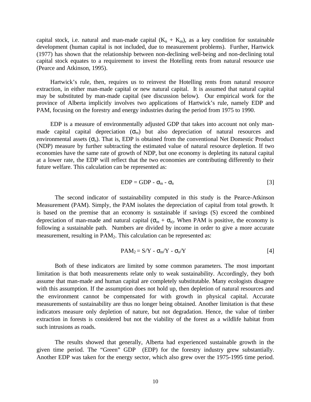capital stock, i.e. natural and man-made capital  $(K_n + K_m)$ , as a key condition for sustainable development (human capital is not included, due to measurement problems). Further, Hartwick (1977) has shown that the relationship between non-declining well-being and non-declining total capital stock equates to a requirement to invest the Hotelling rents from natural resource use (Pearce and Atkinson, 1995).

Hartwick's rule, then, requires us to reinvest the Hotelling rents from natural resource extraction, in either man-made capital or new natural capital. It is assumed that natural capital may be substituted by man-made capital (see discussion below). Our empirical work for the province of Alberta implicitly involves two applications of Hartwick's rule, namely EDP and PAM, focusing on the forestry and energy industries during the period from 1975 to 1990.

EDP is a measure of environmentally adjusted GDP that takes into account not only manmade capital capital depreciation  $(\sigma_m)$  but also depreciation of natural resources and environmental assets  $(\sigma_n)$ . That is, EDP is obtained from the conventional Net Domestic Product (NDP) measure by further subtracting the estimated value of natural resource depletion. If two economies have the same rate of growth of NDP, but one economy is depleting its natural capital at a lower rate, the EDP will reflect that the two economies are contributing differently to their future welfare. This calculation can be represented as:

$$
EDP = GDP - \sigma_m - \sigma_n \tag{3}
$$

The second indicator of sustainability computed in this study is the Pearce-Atkinson Measurement (PAM). Simply, the PAM isolates the depreciation of capital from total growth. It is based on the premise that an economy is sustainable if savings (S) exceed the combined depreciation of man-made and natural capital ( $\sigma_{m} + \sigma_{n}$ ). When PAM is positive, the economy is following a sustainable path. Numbers are divided by income in order to give a more accurate measurement, resulting in PAM<sub>2</sub>. This calculation can be represented as:

$$
PAM_2 = S/Y - \sigma_m/Y - \sigma_n/Y
$$
 [4]

Both of these indicators are limited by some common parameters. The most important limitation is that both measurements relate only to weak sustainability. Accordingly, they both assume that man-made and human capital are completely substitutable. Many ecologists disagree with this assumption. If the assumption does not hold up, then depletion of natural resources and the environment cannot be compensated for with growth in physical capital. Accurate measurements of sustainability are thus no longer being obtained. Another limitation is that these indicators measure only depletion of nature, but not degradation. Hence, the value of timber extraction in forests is considered but not the viability of the forest as a wildlife habitat from such intrusions as roads.

The results showed that generally, Alberta had experienced sustainable growth in the given time period. The "Green" GDP (EDP) for the forestry industry grew substantially. Another EDP was taken for the energy sector, which also grew over the 1975-1995 time period.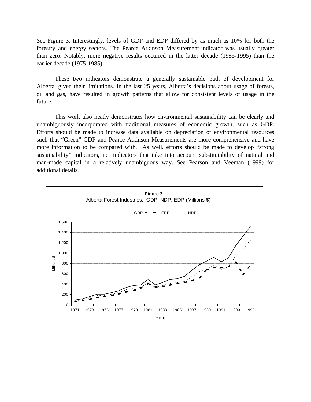See Figure 3. Interestingly, levels of GDP and EDP differed by as much as 10% for both the forestry and energy sectors. The Pearce Atkinson Measurement indicator was usually greater than zero. Notably, more negative results occurred in the latter decade (1985-1995) than the earlier decade (1975-1985).

These two indicators demonstrate a generally sustainable path of development for Alberta, given their limitations. In the last 25 years, Alberta's decisions about usage of forests, oil and gas, have resulted in growth patterns that allow for consistent levels of usage in the future.

This work also neatly demonstrates how environmental sustainability can be clearly and unambiguously incorporated with traditional measures of economic growth, such as GDP. Efforts should be made to increase data available on depreciation of environmental resources such that "Green" GDP and Pearce Atkinson Measurements are more comprehensive and have more information to be compared with. As well, efforts should be made to develop "strong sustainability" indicators, i.e. indicators that take into account substitutability of natural and man-made capital in a relatively unambiguous way. See Pearson and Veeman (1999) for additional details.

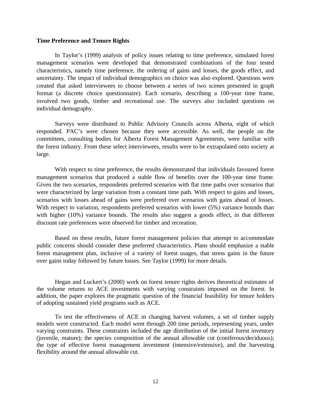#### **Time Preference and Tenure Rights**

In Taylor's (1999) analysis of policy issues relating to time preference, simulated forest management scenarios were developed that demonstrated combinations of the four tested characteristics, namely time preference, the ordering of gains and losses, the goods effect, and uncertainty. The impact of individual demographics on choice was also explored. Questions were created that asked interviewees to choose between a series of two scenes presented in graph format (a discrete choice questionnaire). Each scenario, describing a 100-year time frame, involved two goods, timber and recreational use. The surveys also included questions on individual demography.

Surveys were distributed to Public Advisory Councils across Alberta, eight of which responded. PAC's were chosen because they were accessible. As well, the people on the committees, consulting bodies for Alberta Forest Management Agreements, were familiar with the forest industry. From these select interviewees, results were to be extrapolated onto society at large.

With respect to time preference, the results demonstrated that individuals favoured forest management scenarios that produced a stable flow of benefits over the 100-year time frame. Given the two scenarios, respondents preferred scenarios with flat time paths over scenarios that were characterized by large variation from a constant time path. With respect to gains and losses, scenarios with losses ahead of gains were preferred over scenarios with gains ahead of losses. With respect to variation, respondents preferred scenarios with lower (5%) variance bounds than with higher (10%) variance bounds. The results also suggest a goods effect, in that different discount rate preferences were observed for timber and recreation.

Based on these results, future forest management policies that attempt to accommodate public concerns should consider these preferred characteristics. Plans should emphasize a stable forest management plan, inclusive of a variety of forest usages, that stress gains in the future over gains today followed by future losses. See Taylor (1999) for more details.

Hegan and Luckert's (2000) work on forest tenure rights derives theoretical estimates of the volume returns to ACE investments with varying constraints imposed on the forest. In addition, the paper explores the pragmatic question of the financial feasibility for tenure holders of adopting sustained yield programs such as ACE.

To test the effectiveness of ACE in changing harvest volumes, a set of timber supply models were constructed. Each model went through 200 time periods, representing years, under varying constraints. These constraints included the age distribution of the initial forest inventory (juvenile, mature); the species composition of the annual allowable cut (coniferous/deciduous); the type of effective forest management investment (intensive/extensive), and the harvesting flexibility around the annual allowable cut.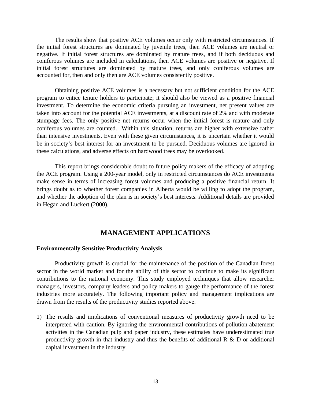The results show that positive ACE volumes occur only with restricted circumstances. If the initial forest structures are dominated by juvenile trees, then ACE volumes are neutral or negative. If initial forest structures are dominated by mature trees, and if both deciduous and coniferous volumes are included in calculations, then ACE volumes are positive or negative. If initial forest structures are dominated by mature trees, and only coniferous volumes are accounted for, then and only then are ACE volumes consistently positive.

Obtaining positive ACE volumes is a necessary but not sufficient condition for the ACE program to entice tenure holders to participate; it should also be viewed as a positive financial investment. To determine the economic criteria pursuing an investment, net present values are taken into account for the potential ACE investments, at a discount rate of 2% and with moderate stumpage fees. The only positive net returns occur when the initial forest is mature and only coniferous volumes are counted. Within this situation, returns are higher with extensive rather than intensive investments. Even with these given circumstances, it is uncertain whether it would be in society's best interest for an investment to be pursued. Deciduous volumes are ignored in these calculations, and adverse effects on hardwood trees may be overlooked.

This report brings considerable doubt to future policy makers of the efficacy of adopting the ACE program. Using a 200-year model, only in restricted circumstances do ACE investments make sense in terms of increasing forest volumes and producing a positive financial return. It brings doubt as to whether forest companies in Alberta would be willing to adopt the program, and whether the adoption of the plan is in society's best interests. Additional details are provided in Hegan and Luckert (2000).

## **MANAGEMENT APPLICATIONS**

#### **Environmentally Sensitive Productivity Analysis**

Productivity growth is crucial for the maintenance of the position of the Canadian forest sector in the world market and for the ability of this sector to continue to make its significant contributions to the national economy. This study employed techniques that allow researcher managers, investors, company leaders and policy makers to gauge the performance of the forest industries more accurately. The following important policy and management implications are drawn from the results of the productivity studies reported above.

1) The results and implications of conventional measures of productivity growth need to be interpreted with caution. By ignoring the environmental contributions of pollution abatement activities in the Canadian pulp and paper industry, these estimates have underestimated true productivity growth in that industry and thus the benefits of additional  $R \& D$  or additional capital investment in the industry.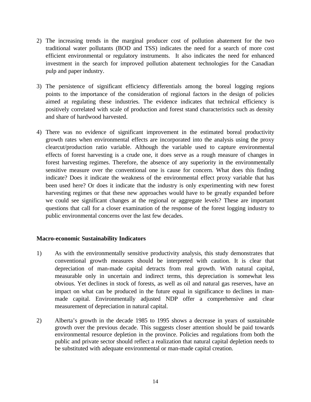- 2) The increasing trends in the marginal producer cost of pollution abatement for the two traditional water pollutants (BOD and TSS) indicates the need for a search of more cost efficient environmental or regulatory instruments. It also indicates the need for enhanced investment in the search for improved pollution abatement technologies for the Canadian pulp and paper industry.
- 3) The persistence of significant efficiency differentials among the boreal logging regions points to the importance of the consideration of regional factors in the design of policies aimed at regulating these industries. The evidence indicates that technical efficiency is positively correlated with scale of production and forest stand characteristics such as density and share of hardwood harvested.
- 4) There was no evidence of significant improvement in the estimated boreal productivity growth rates when environmental effects are incorporated into the analysis using the proxy clearcut/production ratio variable. Although the variable used to capture environmental effects of forest harvesting is a crude one, it does serve as a rough measure of changes in forest harvesting regimes. Therefore, the absence of any superiority in the environmentally sensitive measure over the conventional one is cause for concern. What does this finding indicate? Does it indicate the weakness of the environmental effect proxy variable that has been used here? Or does it indicate that the industry is only experimenting with new forest harvesting regimes or that these new approaches would have to be greatly expanded before we could see significant changes at the regional or aggregate levels? These are important questions that call for a closer examination of the response of the forest logging industry to public environmental concerns over the last few decades.

## **Macro-economic Sustainability Indicators**

- 1) As with the environmentally sensitive productivity analysis, this study demonstrates that conventional growth measures should be interpreted with caution. It is clear that depreciation of man-made capital detracts from real growth. With natural capital, measurable only in uncertain and indirect terms, this depreciation is somewhat less obvious. Yet declines in stock of forests, as well as oil and natural gas reserves, have an impact on what can be produced in the future equal in significance to declines in manmade capital. Environmentally adjusted NDP offer a comprehensive and clear measurement of depreciation in natural capital.
- 2) Alberta's growth in the decade 1985 to 1995 shows a decrease in years of sustainable growth over the previous decade. This suggests closer attention should be paid towards environmental resource depletion in the province. Policies and regulations from both the public and private sector should reflect a realization that natural capital depletion needs to be substituted with adequate environmental or man-made capital creation.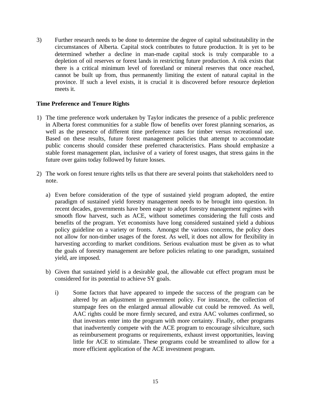3) Further research needs to be done to determine the degree of capital substitutability in the circumstances of Alberta. Capital stock contributes to future production. It is yet to be determined whether a decline in man-made capital stock is truly comparable to a depletion of oil reserves or forest lands in restricting future production. A risk exists that there is a critical minimum level of forestland or mineral reserves that once reached, cannot be built up from, thus permanently limiting the extent of natural capital in the province. If such a level exists, it is crucial it is discovered before resource depletion meets it.

## **Time Preference and Tenure Rights**

- 1) The time preference work undertaken by Taylor indicates the presence of a public preference in Alberta forest communities for a stable flow of benefits over forest planning scenarios, as well as the presence of different time preference rates for timber versus recreational use. Based on these results, future forest management policies that attempt to accommodate public concerns should consider these preferred characteristics. Plans should emphasize a stable forest management plan, inclusive of a variety of forest usages, that stress gains in the future over gains today followed by future losses.
- 2) The work on forest tenure rights tells us that there are several points that stakeholders need to note.
	- a) Even before consideration of the type of sustained yield program adopted, the entire paradigm of sustained yield forestry management needs to be brought into question. In recent decades, governments have been eager to adopt forestry management regimes with smooth flow harvest, such as ACE, without sometimes considering the full costs and benefits of the program. Yet economists have long considered sustained yield a dubious policy guideline on a variety or fronts. Amongst the various concerns, the policy does not allow for non-timber usages of the forest. As well, it does not allow for flexibility in harvesting according to market conditions. Serious evaluation must be given as to what the goals of forestry management are before policies relating to one paradigm, sustained yield, are imposed.
	- b) Given that sustained yield is a desirable goal, the allowable cut effect program must be considered for its potential to achieve SY goals.
		- i) Some factors that have appeared to impede the success of the program can be altered by an adjustment in government policy. For instance, the collection of stumpage fees on the enlarged annual allowable cut could be removed. As well, AAC rights could be more firmly secured, and extra AAC volumes confirmed, so that investors enter into the program with more certainty. Finally, other programs that inadvertently compete with the ACE program to encourage silviculture, such as reimbursement programs or requirements, exhaust invest opportunities, leaving little for ACE to stimulate. These programs could be streamlined to allow for a more efficient application of the ACE investment program.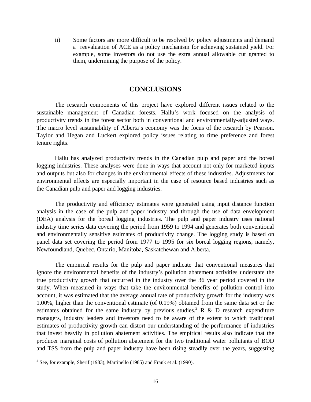ii) Some factors are more difficult to be resolved by policy adjustments and demand a reevaluation of ACE as a policy mechanism for achieving sustained yield. For example, some investors do not use the extra annual allowable cut granted to them, undermining the purpose of the policy.

## **CONCLUSIONS**

The research components of this project have explored different issues related to the sustainable management of Canadian forests. Hailu's work focused on the analysis of productivity trends in the forest sector both in conventional and environmentally-adjusted ways. The macro level sustainability of Alberta's economy was the focus of the research by Pearson. Taylor and Hegan and Luckert explored policy issues relating to time preference and forest tenure rights.

Hailu has analyzed productivity trends in the Canadian pulp and paper and the boreal logging industries. These analyses were done in ways that account not only for marketed inputs and outputs but also for changes in the environmental effects of these industries. Adjustments for environmental effects are especially important in the case of resource based industries such as the Canadian pulp and paper and logging industries.

The productivity and efficiency estimates were generated using input distance function analysis in the case of the pulp and paper industry and through the use of data envelopment (DEA) analysis for the boreal logging industries. The pulp and paper industry uses national industry time series data covering the period from 1959 to 1994 and generates both conventional and environmentally sensitive estimates of productivity change. The logging study is based on panel data set covering the period from 1977 to 1995 for six boreal logging regions, namely, Newfoundland, Quebec, Ontario, Manitoba, Saskatchewan and Alberta.

The empirical results for the pulp and paper indicate that conventional measures that ignore the environmental benefits of the industry's pollution abatement activities understate the true productivity growth that occurred in the industry over the 36 year period covered in the study. When measured in ways that take the environmental benefits of pollution control into account, it was estimated that the average annual rate of productivity growth for the industry was 1.00%, higher than the conventional estimate (of 0.19%) obtained from the same data set or the estimates obtained for the same industry by previous studies.<sup>2</sup> R & D research expenditure managers, industry leaders and investors need to be aware of the extent to which traditional estimates of productivity growth can distort our understanding of the performance of industries that invest heavily in pollution abatement activities. The empirical results also indicate that the producer marginal costs of pollution abatement for the two traditional water pollutants of BOD and TSS from the pulp and paper industry have been rising steadily over the years, suggesting

<sup>&</sup>lt;sup>2</sup> See, for example, Sherif (1983), Martinello (1985) and Frank et al. (1990).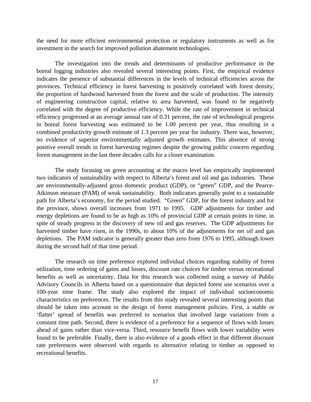the need for more efficient environmental protection or regulatory instruments as well as for investment in the search for improved pollution abatement technologies.

The investigation into the trends and determinants of productive performance in the boreal logging industries also revealed several interesting points. First, the empirical evidence indicates the presence of substantial differences in the levels of technical efficiencies across the provinces. Technical efficiency in forest harvesting is positively correlated with forest density, the proportion of hardwood harvested from the forest and the scale of production. The intensity of engineering construction capital, relative to area harvested, was found to be negatively correlated with the degree of productive efficiency. While the rate of improvement in technical efficiency progressed at an average annual rate of 0.31 percent, the rate of technological progress in boreal forest harvesting was estimated to be 1.00 percent per year, thus resulting in a combined productivity growth estimate of 1.3 percent per year for industry. There was, however, no evidence of superior environmentally adjusted growth estimates. This absence of strong positive overall trends in forest harvesting regimes despite the growing public concern regarding forest management in the last three decades calls for a closer examination.

The study focusing on green accounting at the macro level has empirically implemented two indicators of sustainability with respect to Alberta's forest and oil and gas industries. These are environmentally-adjusted gross domestic product (GDP), or "green" GDP, and the Pearce-Atkinson measure (PAM) of weak sustainability. Both indicators generally point to a sustainable path for Alberta's economy, for the period studied. "Green" GDP, for the forest industry and for the province, shows overall increases from 1971 to 1995. GDP adjustments for timber and energy depletions are found to be as high as 10% of provincial GDP at certain points in time, in spite of steady progress in the discovery of new oil and gas reserves. The GDP adjustments for harvested timber have risen, in the 1990s, to about 10% of the adjustments for net oil and gas depletions. The PAM indicator is generally greater than zero from 1976 to 1995, although lower during the second half of that time period.

The research on time preference explored individual choices regarding stability of forest utilization, time ordering of gains and losses, discount rate choices for timber versus recreational benefits as well as uncertainty. Data for this research was collected using a survey of Public Advisory Councils in Alberta based on a questionnaire that depicted forest use scenarios over a 100-year time frame. The study also explored the impact of individual socioeconomic characteristics on preferences. The results from this study revealed several interesting points that should be taken into account in the design of forest management policies. First, a stable or 'flatter' spread of benefits was preferred to scenarios that involved large variations from a constant time path. Second, there is evidence of a preference for a sequence of flows with losses ahead of gains rather than vice-versa. Third, resource benefit flows with lower variability were found to be preferable. Finally, there is also evidence of a goods effect in that different discount rate preferences were observed with regards to alternative relating to timber as opposed to recreational benefits.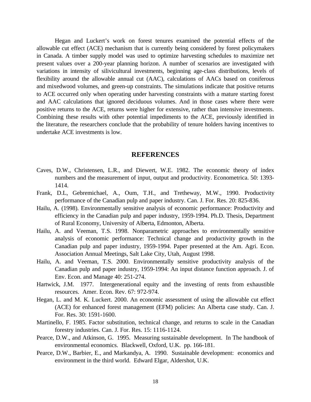Hegan and Luckert's work on forest tenures examined the potential effects of the allowable cut effect (ACE) mechanism that is currently being considered by forest policymakers in Canada. A timber supply model was used to optimize harvesting schedules to maximize net present values over a 200-year planning horizon. A number of scenarios are investigated with variations in intensity of silivicultural investments, beginning age-class distributions, levels of flexibility around the allowable annual cut (AAC), calculations of AACs based on coniferous and mixedwood volumes, and green-up constraints. The simulations indicate that positive returns to ACE occurred only when operating under harvesting constraints with a mature starting forest and AAC calculations that ignored deciduous volumes. And in those cases where there were positive returns to the ACE, returns were higher for extensive, rather than intensive investments. Combining these results with other potential impediments to the ACE, previously identified in the literature, the researchers conclude that the probability of tenure holders having incentives to undertake ACE investments is low.

#### **REFERENCES**

- Caves, D.W., Christensen, L.R., and Diewert, W.E. 1982. The economic theory of index numbers and the measurement of input, output and productivity. Econometrica. 50: 1393- 1414.
- Frank, D.L, Gebremichael, A., Oum, T.H., and Tretheway, M.W., 1990. Productivity performance of the Canadian pulp and paper industry. Can. J. For. Res. 20: 825-836.
- Hailu, A. (1998). Environmentally sensitive analysis of economic performance: Productivity and efficiency in the Canadian pulp and paper industry, 1959-1994. Ph.D. Thesis, Department of Rural Economy, University of Alberta, Edmonton, Alberta.
- Hailu, A. and Veeman, T.S. 1998. Nonparametric approaches to environmentally sensitive analysis of economic performance: Technical change and productivity growth in the Canadian pulp and paper industry, 1959-1994. Paper presented at the Am. Agri. Econ. Association Annual Meetings, Salt Lake City, Utah, August 1998.
- Hailu, A. and Veeman, T.S. 2000. Environmentally sensitive productivity analysis of the Canadian pulp and paper industry, 1959-1994: An input distance function approach. J. of Env. Econ. and Manage 40: 251-274.
- Hartwick, J.M. 1977. Intergenerational equity and the investing of rents from exhaustible resources. Amer. Econ. Rev. 67: 972-974.
- Hegan, L. and M. K. Luckert. 2000. An economic assessment of using the allowable cut effect (ACE) for enhanced forest management (EFM) policies: An Alberta case study. Can. J. For. Res. 30: 1591-1600.
- Martinello, F. 1985. Factor substitution, technical change, and returns to scale in the Canadian forestry industries. Can. J. For. Res. 15: 1116-1124.
- Pearce, D.W., and Atkinson, G. 1995. Measuring sustainable development. In The handbook of environmental economics. Blackwell, Oxford, U.K. pp. 166-181.
- Pearce, D.W., Barbier, E., and Markandya, A. 1990. Sustainable development: economics and environment in the third world. Edward Elgar, Aldershot, U.K.